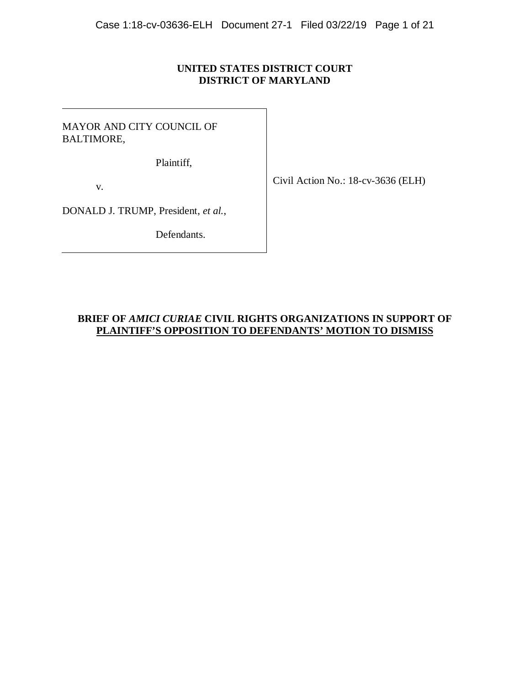## **UNITED STATES DISTRICT COURT DISTRICT OF MARYLAND**

MAYOR AND CITY COUNCIL OF BALTIMORE,

Plaintiff,

v.

Civil Action No.: 18-cv-3636 (ELH)

DONALD J. TRUMP, President, *et al.*,

Defendants.

## **BRIEF OF** *AMICI CURIAE* **CIVIL RIGHTS ORGANIZATIONS IN SUPPORT OF PLAINTIFF'S OPPOSITION TO DEFENDANTS' MOTION TO DISMISS**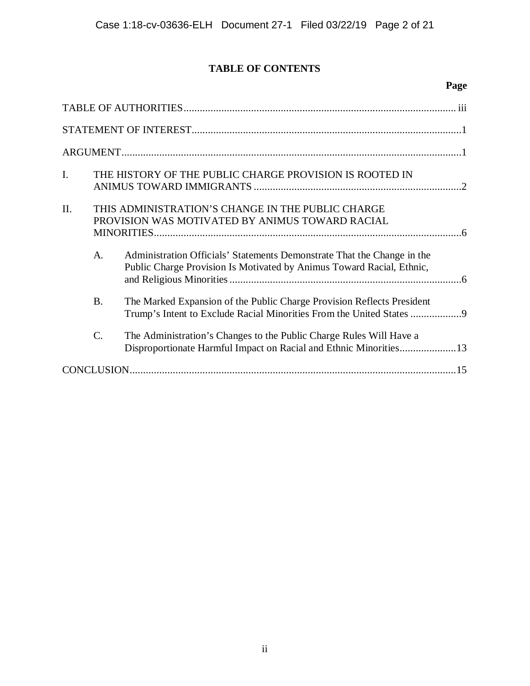# **TABLE OF CONTENTS**

| $\mathbf{I}$ . |                 | THE HISTORY OF THE PUBLIC CHARGE PROVISION IS ROOTED IN                                                                                          |
|----------------|-----------------|--------------------------------------------------------------------------------------------------------------------------------------------------|
| II.            |                 | THIS ADMINISTRATION'S CHANGE IN THE PUBLIC CHARGE<br>PROVISION WAS MOTIVATED BY ANIMUS TOWARD RACIAL                                             |
|                | A.              | Administration Officials' Statements Demonstrate That the Change in the<br>Public Charge Provision Is Motivated by Animus Toward Racial, Ethnic, |
|                | <b>B.</b>       | The Marked Expansion of the Public Charge Provision Reflects President<br>Trump's Intent to Exclude Racial Minorities From the United States     |
|                | $\mathcal{C}$ . | The Administration's Changes to the Public Charge Rules Will Have a<br>Disproportionate Harmful Impact on Racial and Ethnic Minorities13         |
|                |                 |                                                                                                                                                  |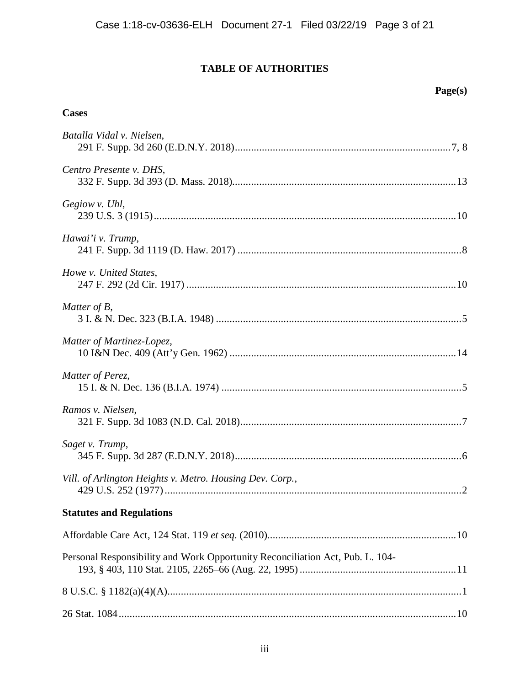# **TABLE OF AUTHORITIES**

## **Cases**

| Batalla Vidal v. Nielsen,                                                     |
|-------------------------------------------------------------------------------|
| Centro Presente v. DHS,                                                       |
| Gegiow v. Uhl,                                                                |
| Hawai'i v. Trump,                                                             |
| Howe v. United States,                                                        |
| Matter of $B$ ,                                                               |
| Matter of Martinez-Lopez,                                                     |
| Matter of Perez,                                                              |
| Ramos v. Nielsen,                                                             |
| Saget v. Trump,                                                               |
| Vill. of Arlington Heights v. Metro. Housing Dev. Corp.,                      |
| <b>Statutes and Regulations</b>                                               |
|                                                                               |
| Personal Responsibility and Work Opportunity Reconciliation Act, Pub. L. 104- |
|                                                                               |
|                                                                               |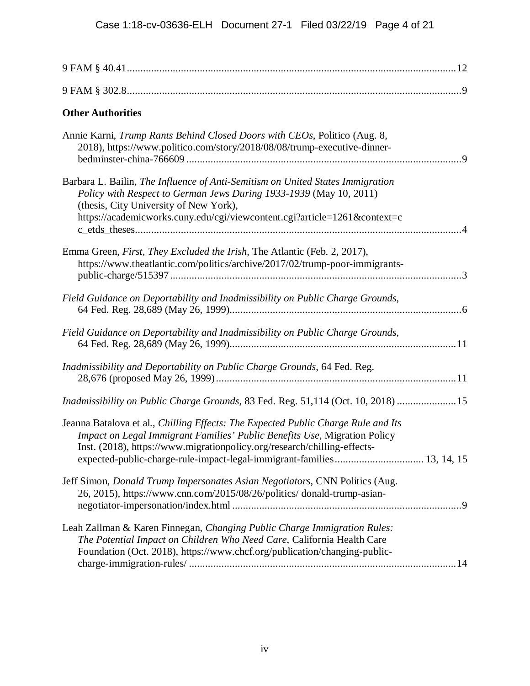| <b>Other Authorities</b>                                                                                                                                                                                                                                                                                             |  |
|----------------------------------------------------------------------------------------------------------------------------------------------------------------------------------------------------------------------------------------------------------------------------------------------------------------------|--|
| Annie Karni, Trump Rants Behind Closed Doors with CEOs, Politico (Aug. 8,<br>2018), https://www.politico.com/story/2018/08/08/trump-executive-dinner-                                                                                                                                                                |  |
| Barbara L. Bailin, The Influence of Anti-Semitism on United States Immigration<br>Policy with Respect to German Jews During 1933-1939 (May 10, 2011)<br>(thesis, City University of New York),                                                                                                                       |  |
| https://academicworks.cuny.edu/cgi/viewcontent.cgi?article=1261&context=c                                                                                                                                                                                                                                            |  |
| Emma Green, First, They Excluded the Irish, The Atlantic (Feb. 2, 2017),<br>https://www.theatlantic.com/politics/archive/2017/02/trump-poor-immigrants-                                                                                                                                                              |  |
| Field Guidance on Deportability and Inadmissibility on Public Charge Grounds,                                                                                                                                                                                                                                        |  |
| Field Guidance on Deportability and Inadmissibility on Public Charge Grounds,                                                                                                                                                                                                                                        |  |
| Inadmissibility and Deportability on Public Charge Grounds, 64 Fed. Reg.                                                                                                                                                                                                                                             |  |
| Inadmissibility on Public Charge Grounds, 83 Fed. Reg. 51,114 (Oct. 10, 2018)  15                                                                                                                                                                                                                                    |  |
| Jeanna Batalova et al., Chilling Effects: The Expected Public Charge Rule and Its<br>Impact on Legal Immigrant Families' Public Benefits Use, Migration Policy<br>Inst. (2018), https://www.migrationpolicy.org/research/chilling-effects-<br>expected-public-charge-rule-impact-legal-immigrant-families 13, 14, 15 |  |
| Jeff Simon, Donald Trump Impersonates Asian Negotiators, CNN Politics (Aug.<br>26, 2015), https://www.cnn.com/2015/08/26/politics/ donald-trump-asian-                                                                                                                                                               |  |
| Leah Zallman & Karen Finnegan, Changing Public Charge Immigration Rules:<br>The Potential Impact on Children Who Need Care, California Health Care<br>Foundation (Oct. 2018), https://www.chcf.org/publication/changing-public-                                                                                      |  |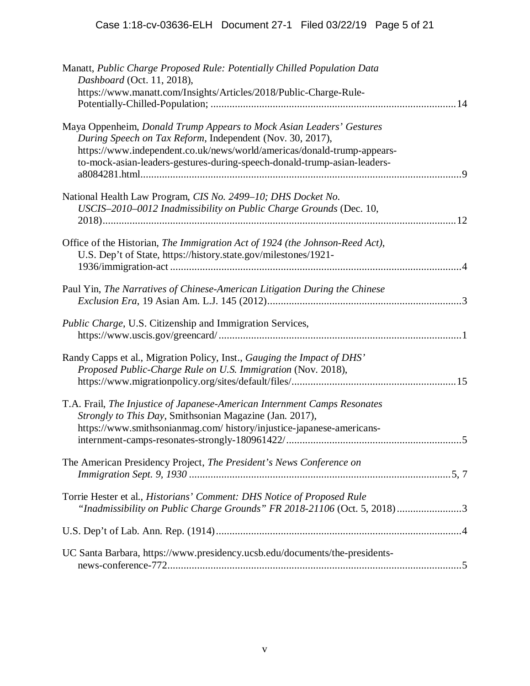| Manatt, Public Charge Proposed Rule: Potentially Chilled Population Data<br>Dashboard (Oct. 11, 2018),                                                     |
|------------------------------------------------------------------------------------------------------------------------------------------------------------|
| https://www.manatt.com/Insights/Articles/2018/Public-Charge-Rule-                                                                                          |
| Maya Oppenheim, Donald Trump Appears to Mock Asian Leaders' Gestures<br>During Speech on Tax Reform, Independent (Nov. 30, 2017),                          |
| https://www.independent.co.uk/news/world/americas/donald-trump-appears-<br>to-mock-asian-leaders-gestures-during-speech-donald-trump-asian-leaders-<br>- 9 |
| National Health Law Program, CIS No. 2499-10; DHS Docket No.                                                                                               |
| USCIS-2010-0012 Inadmissibility on Public Charge Grounds (Dec. 10,                                                                                         |
| Office of the Historian, The Immigration Act of 1924 (the Johnson-Reed Act),<br>U.S. Dep't of State, https://history.state.gov/milestones/1921-            |
|                                                                                                                                                            |
| Paul Yin, The Narratives of Chinese-American Litigation During the Chinese                                                                                 |
| Public Charge, U.S. Citizenship and Immigration Services,                                                                                                  |
| Randy Capps et al., Migration Policy, Inst., Gauging the Impact of DHS'<br>Proposed Public-Charge Rule on U.S. Immigration (Nov. 2018),                    |
| T.A. Frail, The Injustice of Japanese-American Internment Camps Resonates                                                                                  |
| Strongly to This Day, Smithsonian Magazine (Jan. 2017),<br>https://www.smithsonianmag.com/ history/injustice-japanese-americans-                           |
|                                                                                                                                                            |
| The American Presidency Project, The President's News Conference on                                                                                        |
| Torrie Hester et al., Historians' Comment: DHS Notice of Proposed Rule<br>"Inadmissibility on Public Charge Grounds" FR 2018-21106 (Oct. 5, 2018)3         |
|                                                                                                                                                            |
| UC Santa Barbara, https://www.presidency.ucsb.edu/documents/the-presidents-                                                                                |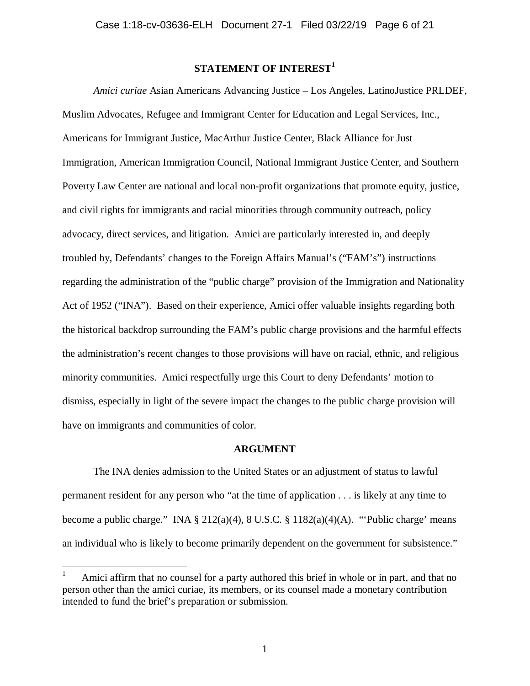## **STATEMENT OF INTEREST<sup>1</sup>**

*Amici curiae* Asian Americans Advancing Justice – Los Angeles, LatinoJustice PRLDEF, Muslim Advocates, Refugee and Immigrant Center for Education and Legal Services, Inc., Americans for Immigrant Justice, MacArthur Justice Center, Black Alliance for Just Immigration, American Immigration Council, National Immigrant Justice Center, and Southern Poverty Law Center are national and local non-profit organizations that promote equity, justice, and civil rights for immigrants and racial minorities through community outreach, policy advocacy, direct services, and litigation. Amici are particularly interested in, and deeply troubled by, Defendants' changes to the Foreign Affairs Manual's ("FAM's") instructions regarding the administration of the "public charge" provision of the Immigration and Nationality Act of 1952 ("INA"). Based on their experience, Amici offer valuable insights regarding both the historical backdrop surrounding the FAM's public charge provisions and the harmful effects the administration's recent changes to those provisions will have on racial, ethnic, and religious minority communities. Amici respectfully urge this Court to deny Defendants' motion to dismiss, especially in light of the severe impact the changes to the public charge provision will have on immigrants and communities of color.

## **ARGUMENT**

The INA denies admission to the United States or an adjustment of status to lawful permanent resident for any person who "at the time of application . . . is likely at any time to become a public charge." INA  $\S 212(a)(4)$ , 8 U.S.C.  $\S 1182(a)(4)(A)$ . "Public charge' means an individual who is likely to become primarily dependent on the government for subsistence."

<u>.</u>

<sup>1</sup> Amici affirm that no counsel for a party authored this brief in whole or in part, and that no person other than the amici curiae, its members, or its counsel made a monetary contribution intended to fund the brief's preparation or submission.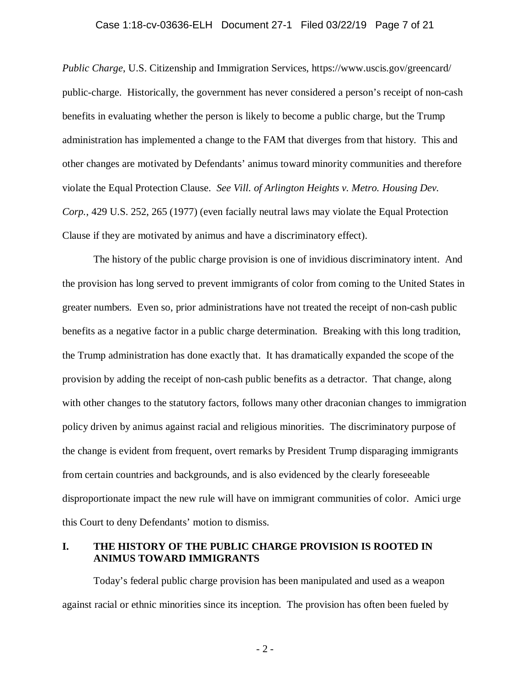#### Case 1:18-cv-03636-ELH Document 27-1 Filed 03/22/19 Page 7 of 21

*Public Charge*, U.S. Citizenship and Immigration Services, https://www.uscis.gov/greencard/ public-charge. Historically, the government has never considered a person's receipt of non-cash benefits in evaluating whether the person is likely to become a public charge, but the Trump administration has implemented a change to the FAM that diverges from that history. This and other changes are motivated by Defendants' animus toward minority communities and therefore violate the Equal Protection Clause. *See Vill. of Arlington Heights v. Metro. Housing Dev. Corp.*, 429 U.S. 252, 265 (1977) (even facially neutral laws may violate the Equal Protection Clause if they are motivated by animus and have a discriminatory effect).

The history of the public charge provision is one of invidious discriminatory intent. And the provision has long served to prevent immigrants of color from coming to the United States in greater numbers. Even so, prior administrations have not treated the receipt of non-cash public benefits as a negative factor in a public charge determination. Breaking with this long tradition, the Trump administration has done exactly that. It has dramatically expanded the scope of the provision by adding the receipt of non-cash public benefits as a detractor. That change, along with other changes to the statutory factors, follows many other draconian changes to immigration policy driven by animus against racial and religious minorities. The discriminatory purpose of the change is evident from frequent, overt remarks by President Trump disparaging immigrants from certain countries and backgrounds, and is also evidenced by the clearly foreseeable disproportionate impact the new rule will have on immigrant communities of color. Amici urge this Court to deny Defendants' motion to dismiss.

### **I. THE HISTORY OF THE PUBLIC CHARGE PROVISION IS ROOTED IN ANIMUS TOWARD IMMIGRANTS**

Today's federal public charge provision has been manipulated and used as a weapon against racial or ethnic minorities since its inception. The provision has often been fueled by

- 2 -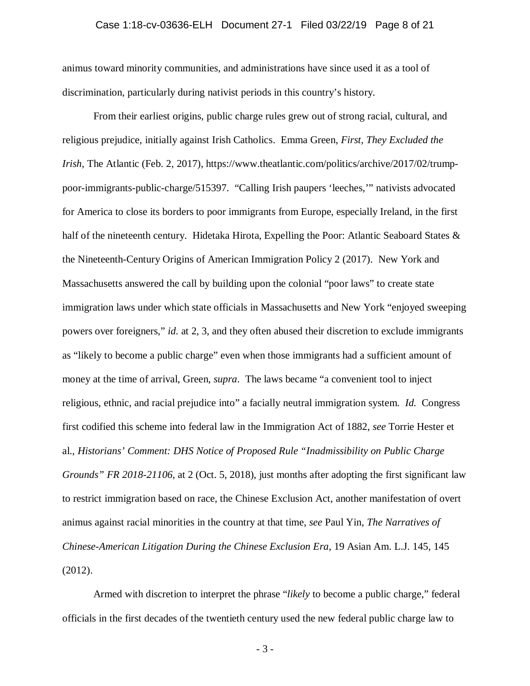#### Case 1:18-cv-03636-ELH Document 27-1 Filed 03/22/19 Page 8 of 21

animus toward minority communities, and administrations have since used it as a tool of discrimination, particularly during nativist periods in this country's history.

From their earliest origins, public charge rules grew out of strong racial, cultural, and religious prejudice, initially against Irish Catholics. Emma Green, *First, They Excluded the Irish*, The Atlantic (Feb. 2, 2017), https://www.theatlantic.com/politics/archive/2017/02/trumppoor-immigrants-public-charge/515397. "Calling Irish paupers 'leeches,'" nativists advocated for America to close its borders to poor immigrants from Europe, especially Ireland, in the first half of the nineteenth century. Hidetaka Hirota, Expelling the Poor: Atlantic Seaboard States & the Nineteenth-Century Origins of American Immigration Policy 2 (2017). New York and Massachusetts answered the call by building upon the colonial "poor laws" to create state immigration laws under which state officials in Massachusetts and New York "enjoyed sweeping powers over foreigners," *id.* at 2, 3, and they often abused their discretion to exclude immigrants as "likely to become a public charge" even when those immigrants had a sufficient amount of money at the time of arrival, Green, *supra*. The laws became "a convenient tool to inject religious, ethnic, and racial prejudice into" a facially neutral immigration system. *Id.* Congress first codified this scheme into federal law in the Immigration Act of 1882, *see* Torrie Hester et al., *Historians' Comment: DHS Notice of Proposed Rule "Inadmissibility on Public Charge Grounds" FR 2018-21106*, at 2 (Oct. 5, 2018), just months after adopting the first significant law to restrict immigration based on race, the Chinese Exclusion Act, another manifestation of overt animus against racial minorities in the country at that time, *see* Paul Yin, *The Narratives of Chinese-American Litigation During the Chinese Exclusion Era*, 19 Asian Am. L.J. 145, 145 (2012).

Armed with discretion to interpret the phrase "*likely* to become a public charge," federal officials in the first decades of the twentieth century used the new federal public charge law to

- 3 -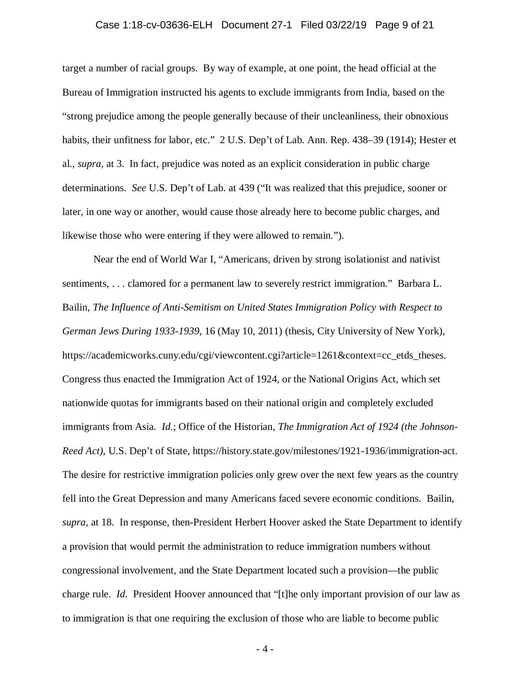### Case 1:18-cv-03636-ELH Document 27-1 Filed 03/22/19 Page 9 of 21

target a number of racial groups. By way of example, at one point, the head official at the Bureau of Immigration instructed his agents to exclude immigrants from India, based on the "strong prejudice among the people generally because of their uncleanliness, their obnoxious habits, their unfitness for labor, etc." 2 U.S. Dep't of Lab. Ann. Rep. 438–39 (1914); Hester et al., *supra*, at 3. In fact, prejudice was noted as an explicit consideration in public charge determinations. *See* U.S. Dep't of Lab. at 439 ("It was realized that this prejudice, sooner or later, in one way or another, would cause those already here to become public charges, and likewise those who were entering if they were allowed to remain.").

Near the end of World War I, "Americans, driven by strong isolationist and nativist sentiments, . . . clamored for a permanent law to severely restrict immigration." Barbara L. Bailin, *The Influence of Anti-Semitism on United States Immigration Policy with Respect to German Jews During 1933-1939*, 16 (May 10, 2011) (thesis, City University of New York), https://academicworks.cuny.edu/cgi/viewcontent.cgi?article=1261&context=cc\_etds\_theses. Congress thus enacted the Immigration Act of 1924, or the National Origins Act, which set nationwide quotas for immigrants based on their national origin and completely excluded immigrants from Asia. *Id.*; Office of the Historian, *The Immigration Act of 1924 (the Johnson-Reed Act)*, U.S. Dep't of State, https://history.state.gov/milestones/1921-1936/immigration-act. The desire for restrictive immigration policies only grew over the next few years as the country fell into the Great Depression and many Americans faced severe economic conditions. Bailin, *supra*, at 18. In response, then-President Herbert Hoover asked the State Department to identify a provision that would permit the administration to reduce immigration numbers without congressional involvement, and the State Department located such a provision—the public charge rule. *Id.* President Hoover announced that "[t]he only important provision of our law as to immigration is that one requiring the exclusion of those who are liable to become public

- 4 -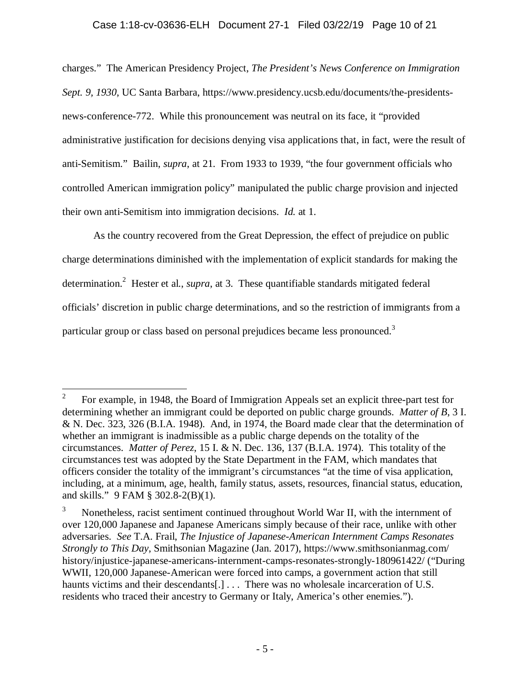## Case 1:18-cv-03636-ELH Document 27-1 Filed 03/22/19 Page 10 of 21

charges." The American Presidency Project, *The President's News Conference on Immigration Sept. 9, 1930*, UC Santa Barbara, https://www.presidency.ucsb.edu/documents/the-presidentsnews-conference-772. While this pronouncement was neutral on its face, it "provided administrative justification for decisions denying visa applications that, in fact, were the result of anti-Semitism." Bailin, *supra*, at 21. From 1933 to 1939, "the four government officials who controlled American immigration policy" manipulated the public charge provision and injected their own anti-Semitism into immigration decisions. *Id.* at 1.

As the country recovered from the Great Depression, the effect of prejudice on public charge determinations diminished with the implementation of explicit standards for making the determination.<sup>2</sup> Hester et al., *supra*, at 3. These quantifiable standards mitigated federal officials' discretion in public charge determinations, and so the restriction of immigrants from a particular group or class based on personal prejudices became less pronounced.<sup>3</sup>

 $\frac{1}{2}$  For example, in 1948, the Board of Immigration Appeals set an explicit three-part test for determining whether an immigrant could be deported on public charge grounds. *Matter of B*, 3 I. & N. Dec. 323, 326 (B.I.A. 1948). And, in 1974, the Board made clear that the determination of whether an immigrant is inadmissible as a public charge depends on the totality of the circumstances. *Matter of Perez*, 15 I. & N. Dec. 136, 137 (B.I.A. 1974). This totality of the circumstances test was adopted by the State Department in the FAM, which mandates that officers consider the totality of the immigrant's circumstances "at the time of visa application, including, at a minimum, age, health, family status, assets, resources, financial status, education, and skills." 9 FAM § 302.8-2(B)(1).

<sup>3</sup> Nonetheless, racist sentiment continued throughout World War II, with the internment of over 120,000 Japanese and Japanese Americans simply because of their race, unlike with other adversaries. *See* T.A. Frail, *The Injustice of Japanese-American Internment Camps Resonates Strongly to This Day*, Smithsonian Magazine (Jan. 2017), https://www.smithsonianmag.com/ history/injustice-japanese-americans-internment-camps-resonates-strongly-180961422/ ("During WWII, 120,000 Japanese-American were forced into camps, a government action that still haunts victims and their descendants[.] . . . There was no wholesale incarceration of U.S. residents who traced their ancestry to Germany or Italy, America's other enemies.").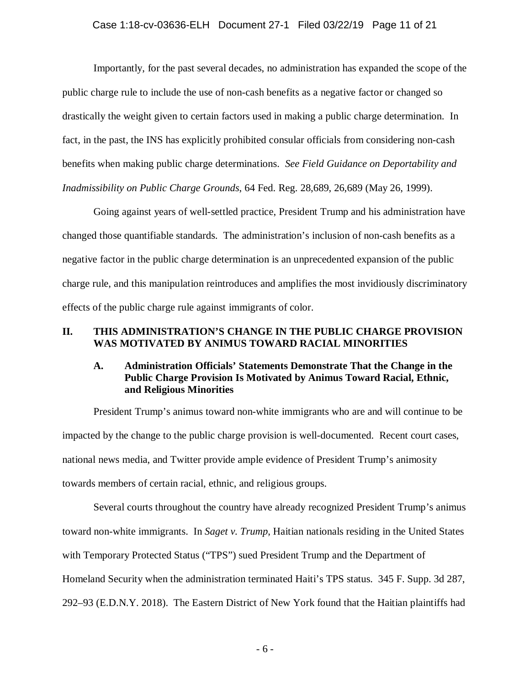Importantly, for the past several decades, no administration has expanded the scope of the public charge rule to include the use of non-cash benefits as a negative factor or changed so drastically the weight given to certain factors used in making a public charge determination. In fact, in the past, the INS has explicitly prohibited consular officials from considering non-cash benefits when making public charge determinations. *See Field Guidance on Deportability and Inadmissibility on Public Charge Grounds*, 64 Fed. Reg. 28,689, 26,689 (May 26, 1999).

Going against years of well-settled practice, President Trump and his administration have changed those quantifiable standards. The administration's inclusion of non-cash benefits as a negative factor in the public charge determination is an unprecedented expansion of the public charge rule, and this manipulation reintroduces and amplifies the most invidiously discriminatory effects of the public charge rule against immigrants of color.

## **II. THIS ADMINISTRATION'S CHANGE IN THE PUBLIC CHARGE PROVISION WAS MOTIVATED BY ANIMUS TOWARD RACIAL MINORITIES**

## **A. Administration Officials' Statements Demonstrate That the Change in the Public Charge Provision Is Motivated by Animus Toward Racial, Ethnic, and Religious Minorities**

President Trump's animus toward non-white immigrants who are and will continue to be impacted by the change to the public charge provision is well-documented. Recent court cases, national news media, and Twitter provide ample evidence of President Trump's animosity towards members of certain racial, ethnic, and religious groups.

Several courts throughout the country have already recognized President Trump's animus toward non-white immigrants. In *Saget v. Trump*, Haitian nationals residing in the United States with Temporary Protected Status ("TPS") sued President Trump and the Department of Homeland Security when the administration terminated Haiti's TPS status. 345 F. Supp. 3d 287, 292–93 (E.D.N.Y. 2018). The Eastern District of New York found that the Haitian plaintiffs had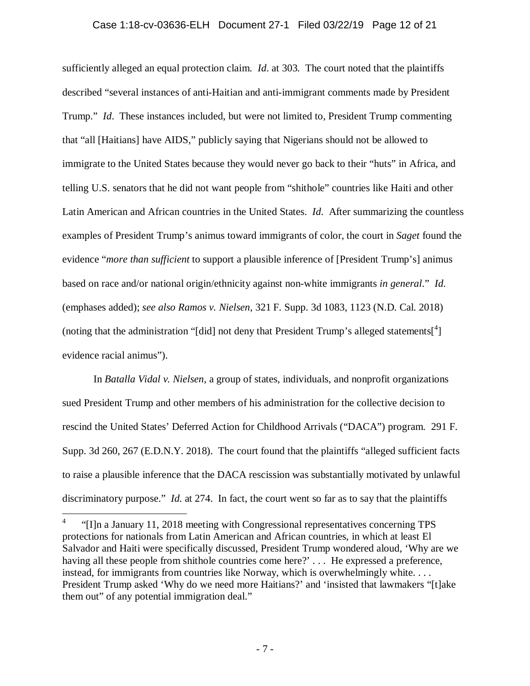#### Case 1:18-cv-03636-ELH Document 27-1 Filed 03/22/19 Page 12 of 21

sufficiently alleged an equal protection claim. *Id*. at 303. The court noted that the plaintiffs described "several instances of anti-Haitian and anti-immigrant comments made by President Trump." *Id*. These instances included, but were not limited to, President Trump commenting that "all [Haitians] have AIDS," publicly saying that Nigerians should not be allowed to immigrate to the United States because they would never go back to their "huts" in Africa, and telling U.S. senators that he did not want people from "shithole" countries like Haiti and other Latin American and African countries in the United States. *Id*. After summarizing the countless examples of President Trump's animus toward immigrants of color, the court in *Saget* found the evidence "*more than sufficient* to support a plausible inference of [President Trump's] animus based on race and/or national origin/ethnicity against non-white immigrants *in general*." *Id*. (emphases added); *see also Ramos v. Nielsen*, 321 F. Supp. 3d 1083, 1123 (N.D. Cal. 2018) (noting that the administration "[did] not deny that President Trump's alleged statements[ $4$ ] evidence racial animus").

In *Batalla Vidal v. Nielsen*, a group of states, individuals, and nonprofit organizations sued President Trump and other members of his administration for the collective decision to rescind the United States' Deferred Action for Childhood Arrivals ("DACA") program. 291 F. Supp. 3d 260, 267 (E.D.N.Y. 2018). The court found that the plaintiffs "alleged sufficient facts to raise a plausible inference that the DACA rescission was substantially motivated by unlawful discriminatory purpose." *Id*. at 274. In fact, the court went so far as to say that the plaintiffs

-

<sup>4</sup> "[I]n a January 11, 2018 meeting with Congressional representatives concerning TPS protections for nationals from Latin American and African countries, in which at least El Salvador and Haiti were specifically discussed, President Trump wondered aloud, 'Why are we having all these people from shithole countries come here?' . . . He expressed a preference, instead, for immigrants from countries like Norway, which is overwhelmingly white. . . . President Trump asked 'Why do we need more Haitians?' and 'insisted that lawmakers "[t]ake them out" of any potential immigration deal."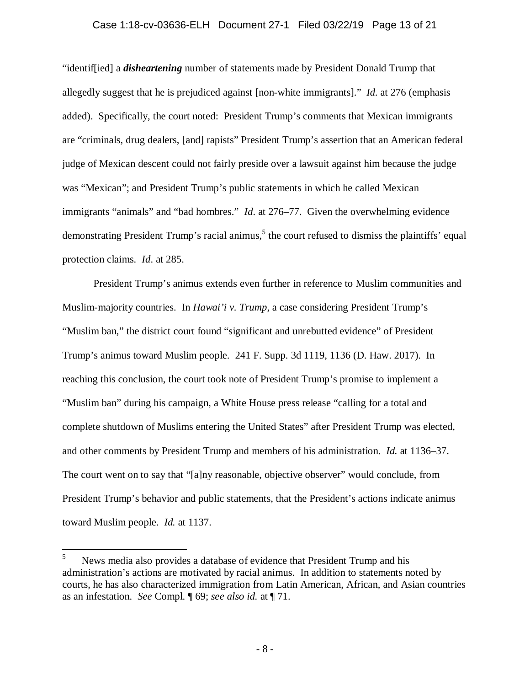#### Case 1:18-cv-03636-ELH Document 27-1 Filed 03/22/19 Page 13 of 21

"identif[ied] a *disheartening* number of statements made by President Donald Trump that allegedly suggest that he is prejudiced against [non-white immigrants]." *Id*. at 276 (emphasis added). Specifically, the court noted: President Trump's comments that Mexican immigrants are "criminals, drug dealers, [and] rapists" President Trump's assertion that an American federal judge of Mexican descent could not fairly preside over a lawsuit against him because the judge was "Mexican"; and President Trump's public statements in which he called Mexican immigrants "animals" and "bad hombres." *Id*. at 276–77. Given the overwhelming evidence demonstrating President Trump's racial animus,<sup>5</sup> the court refused to dismiss the plaintiffs' equal protection claims. *Id*. at 285.

President Trump's animus extends even further in reference to Muslim communities and Muslim-majority countries. In *Hawai'i v. Trump*, a case considering President Trump's "Muslim ban," the district court found "significant and unrebutted evidence" of President Trump's animus toward Muslim people. 241 F. Supp. 3d 1119, 1136 (D. Haw. 2017). In reaching this conclusion, the court took note of President Trump's promise to implement a "Muslim ban" during his campaign, a White House press release "calling for a total and complete shutdown of Muslims entering the United States" after President Trump was elected, and other comments by President Trump and members of his administration. *Id.* at 1136*–*37. The court went on to say that "[a]ny reasonable, objective observer" would conclude, from President Trump's behavior and public statements, that the President's actions indicate animus toward Muslim people. *Id.* at 1137.

 $\frac{1}{5}$  News media also provides a database of evidence that President Trump and his administration's actions are motivated by racial animus. In addition to statements noted by courts, he has also characterized immigration from Latin American, African, and Asian countries as an infestation. *See* Compl. ¶ 69; *see also id.* at ¶ 71.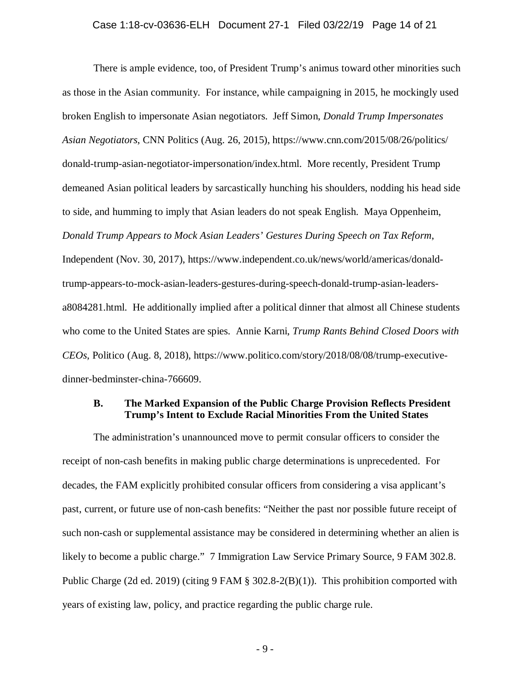There is ample evidence, too, of President Trump's animus toward other minorities such as those in the Asian community. For instance, while campaigning in 2015, he mockingly used broken English to impersonate Asian negotiators. Jeff Simon, *Donald Trump Impersonates Asian Negotiators*, CNN Politics (Aug. 26, 2015), https://www.cnn.com/2015/08/26/politics/ donald-trump-asian-negotiator-impersonation/index.html. More recently, President Trump demeaned Asian political leaders by sarcastically hunching his shoulders, nodding his head side to side, and humming to imply that Asian leaders do not speak English. Maya Oppenheim, *Donald Trump Appears to Mock Asian Leaders' Gestures During Speech on Tax Reform*, Independent (Nov. 30, 2017), https://www.independent.co.uk/news/world/americas/donaldtrump-appears-to-mock-asian-leaders-gestures-during-speech-donald-trump-asian-leadersa8084281.html. He additionally implied after a political dinner that almost all Chinese students who come to the United States are spies. Annie Karni, *Trump Rants Behind Closed Doors with CEOs*, Politico (Aug. 8, 2018), https://www.politico.com/story/2018/08/08/trump-executivedinner-bedminster-china-766609.

## **B. The Marked Expansion of the Public Charge Provision Reflects President Trump's Intent to Exclude Racial Minorities From the United States**

The administration's unannounced move to permit consular officers to consider the receipt of non-cash benefits in making public charge determinations is unprecedented. For decades, the FAM explicitly prohibited consular officers from considering a visa applicant's past, current, or future use of non-cash benefits: "Neither the past nor possible future receipt of such non-cash or supplemental assistance may be considered in determining whether an alien is likely to become a public charge." 7 Immigration Law Service Primary Source, 9 FAM 302.8. Public Charge (2d ed. 2019) (citing 9 FAM § 302.8-2(B)(1)). This prohibition comported with years of existing law, policy, and practice regarding the public charge rule.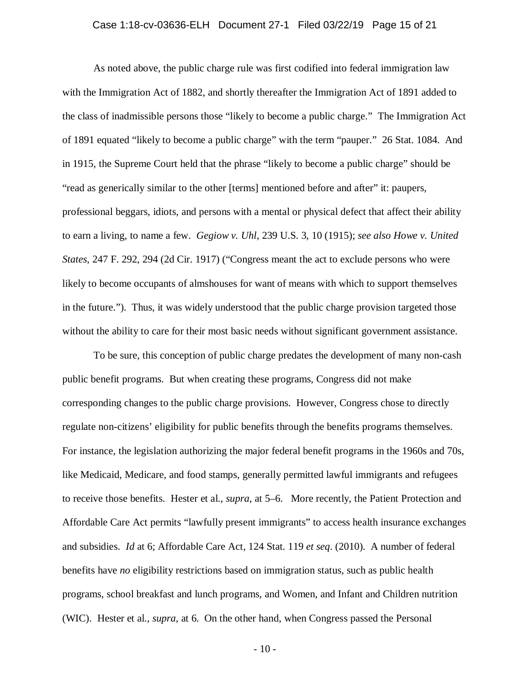#### Case 1:18-cv-03636-ELH Document 27-1 Filed 03/22/19 Page 15 of 21

As noted above, the public charge rule was first codified into federal immigration law with the Immigration Act of 1882, and shortly thereafter the Immigration Act of 1891 added to the class of inadmissible persons those "likely to become a public charge." The Immigration Act of 1891 equated "likely to become a public charge" with the term "pauper." 26 Stat. 1084. And in 1915, the Supreme Court held that the phrase "likely to become a public charge" should be "read as generically similar to the other [terms] mentioned before and after" it: paupers, professional beggars, idiots, and persons with a mental or physical defect that affect their ability to earn a living, to name a few. *Gegiow v. Uhl*, 239 U.S. 3, 10 (1915); *see also Howe v. United States*, 247 F. 292, 294 (2d Cir. 1917) ("Congress meant the act to exclude persons who were likely to become occupants of almshouses for want of means with which to support themselves in the future."). Thus, it was widely understood that the public charge provision targeted those without the ability to care for their most basic needs without significant government assistance.

To be sure, this conception of public charge predates the development of many non-cash public benefit programs. But when creating these programs, Congress did not make corresponding changes to the public charge provisions. However, Congress chose to directly regulate non-citizens' eligibility for public benefits through the benefits programs themselves. For instance, the legislation authorizing the major federal benefit programs in the 1960s and 70s, like Medicaid, Medicare, and food stamps, generally permitted lawful immigrants and refugees to receive those benefits. Hester et al., *supra*, at 5–6. More recently, the Patient Protection and Affordable Care Act permits "lawfully present immigrants" to access health insurance exchanges and subsidies. *Id* at 6; Affordable Care Act, 124 Stat. 119 *et seq*. (2010). A number of federal benefits have *no* eligibility restrictions based on immigration status, such as public health programs, school breakfast and lunch programs, and Women, and Infant and Children nutrition (WIC). Hester et al.*, supra*, at 6. On the other hand, when Congress passed the Personal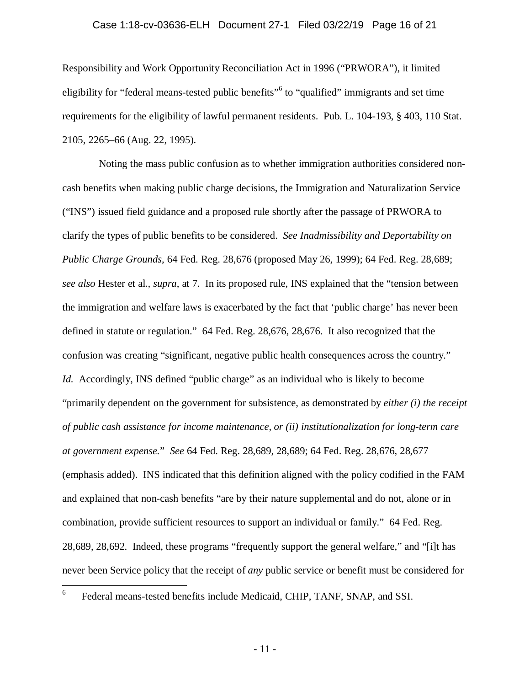#### Case 1:18-cv-03636-ELH Document 27-1 Filed 03/22/19 Page 16 of 21

Responsibility and Work Opportunity Reconciliation Act in 1996 ("PRWORA"), it limited eligibility for "federal means-tested public benefits" to "qualified" immigrants and set time requirements for the eligibility of lawful permanent residents. Pub. L. 104-193, § 403, 110 Stat. 2105, 2265–66 (Aug. 22, 1995).

 Noting the mass public confusion as to whether immigration authorities considered noncash benefits when making public charge decisions, the Immigration and Naturalization Service ("INS") issued field guidance and a proposed rule shortly after the passage of PRWORA to clarify the types of public benefits to be considered. *See Inadmissibility and Deportability on Public Charge Grounds*, 64 Fed. Reg. 28,676 (proposed May 26, 1999); 64 Fed. Reg. 28,689; *see also* Hester et al.*, supra*, at 7. In its proposed rule, INS explained that the "tension between the immigration and welfare laws is exacerbated by the fact that 'public charge' has never been defined in statute or regulation." 64 Fed. Reg. 28,676, 28,676. It also recognized that the confusion was creating "significant, negative public health consequences across the country." *Id.* Accordingly, INS defined "public charge" as an individual who is likely to become "primarily dependent on the government for subsistence, as demonstrated by *either (i) the receipt of public cash assistance for income maintenance, or (ii) institutionalization for long-term care at government expense.*" *See* 64 Fed. Reg. 28,689, 28,689; 64 Fed. Reg. 28,676, 28,677 (emphasis added). INS indicated that this definition aligned with the policy codified in the FAM and explained that non-cash benefits "are by their nature supplemental and do not, alone or in combination, provide sufficient resources to support an individual or family." 64 Fed. Reg. 28,689, 28,692. Indeed, these programs "frequently support the general welfare," and "[i]t has never been Service policy that the receipt of *any* public service or benefit must be considered for

 6 Federal means-tested benefits include Medicaid, CHIP, TANF, SNAP, and SSI.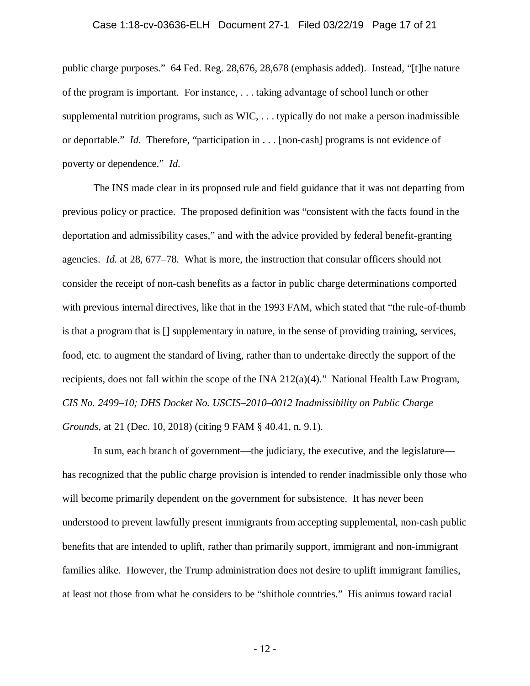#### Case 1:18-cv-03636-ELH Document 27-1 Filed 03/22/19 Page 17 of 21

public charge purposes." 64 Fed. Reg. 28,676, 28,678 (emphasis added). Instead, "[t]he nature of the program is important. For instance, . . . taking advantage of school lunch or other supplemental nutrition programs, such as WIC, . . . typically do not make a person inadmissible or deportable." *Id*. Therefore, "participation in . . . [non-cash] programs is not evidence of poverty or dependence." *Id.*

The INS made clear in its proposed rule and field guidance that it was not departing from previous policy or practice. The proposed definition was "consistent with the facts found in the deportation and admissibility cases," and with the advice provided by federal benefit-granting agencies. *Id.* at 28, 677–78. What is more, the instruction that consular officers should not consider the receipt of non-cash benefits as a factor in public charge determinations comported with previous internal directives, like that in the 1993 FAM, which stated that "the rule-of-thumb is that a program that is [] supplementary in nature, in the sense of providing training, services, food, etc. to augment the standard of living, rather than to undertake directly the support of the recipients, does not fall within the scope of the INA 212(a)(4)." National Health Law Program, *CIS No. 2499–10; DHS Docket No. USCIS–2010–0012 Inadmissibility on Public Charge Grounds*, at 21 (Dec. 10, 2018) (citing 9 FAM § 40.41, n. 9.1).

In sum, each branch of government—the judiciary, the executive, and the legislature has recognized that the public charge provision is intended to render inadmissible only those who will become primarily dependent on the government for subsistence. It has never been understood to prevent lawfully present immigrants from accepting supplemental, non-cash public benefits that are intended to uplift, rather than primarily support, immigrant and non-immigrant families alike. However, the Trump administration does not desire to uplift immigrant families, at least not those from what he considers to be "shithole countries." His animus toward racial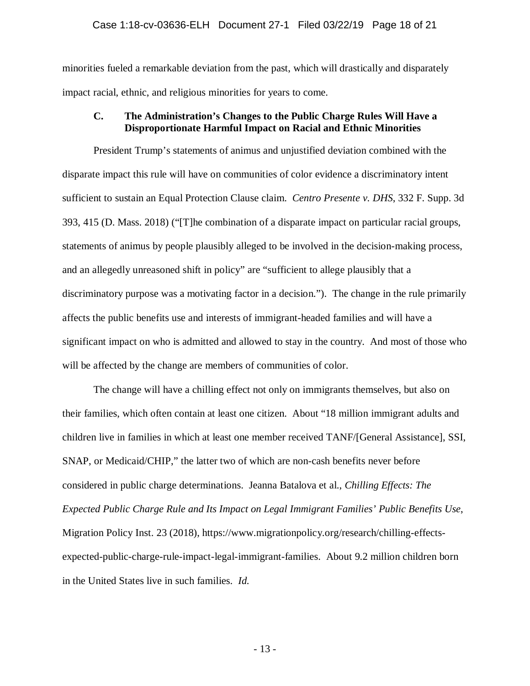minorities fueled a remarkable deviation from the past, which will drastically and disparately impact racial, ethnic, and religious minorities for years to come.

## **C. The Administration's Changes to the Public Charge Rules Will Have a Disproportionate Harmful Impact on Racial and Ethnic Minorities**

President Trump's statements of animus and unjustified deviation combined with the disparate impact this rule will have on communities of color evidence a discriminatory intent sufficient to sustain an Equal Protection Clause claim. *Centro Presente v. DHS*, 332 F. Supp. 3d 393, 415 (D. Mass. 2018) ("[T]he combination of a disparate impact on particular racial groups, statements of animus by people plausibly alleged to be involved in the decision-making process, and an allegedly unreasoned shift in policy" are "sufficient to allege plausibly that a discriminatory purpose was a motivating factor in a decision."). The change in the rule primarily affects the public benefits use and interests of immigrant-headed families and will have a significant impact on who is admitted and allowed to stay in the country. And most of those who will be affected by the change are members of communities of color.

The change will have a chilling effect not only on immigrants themselves, but also on their families, which often contain at least one citizen. About "18 million immigrant adults and children live in families in which at least one member received TANF/[General Assistance], SSI, SNAP, or Medicaid/CHIP," the latter two of which are non-cash benefits never before considered in public charge determinations. Jeanna Batalova et al., *Chilling Effects: The Expected Public Charge Rule and Its Impact on Legal Immigrant Families' Public Benefits Use*, Migration Policy Inst. 23 (2018), https://www.migrationpolicy.org/research/chilling-effectsexpected-public-charge-rule-impact-legal-immigrant-families. About 9.2 million children born in the United States live in such families. *Id.*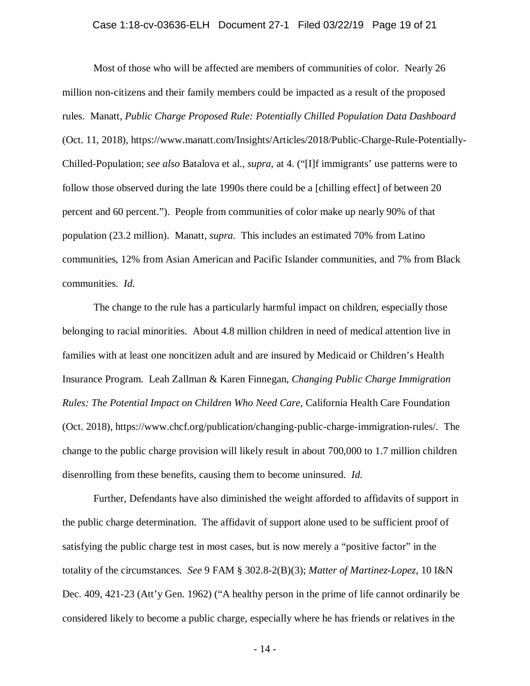Most of those who will be affected are members of communities of color. Nearly 26 million non-citizens and their family members could be impacted as a result of the proposed rules. Manatt, *Public Charge Proposed Rule: Potentially Chilled Population Data Dashboard* (Oct. 11, 2018), https://www.manatt.com/Insights/Articles/2018/Public-Charge-Rule-Potentially-Chilled-Population; *see also* Batalova et al., *supra*, at 4. ("[I]f immigrants' use patterns were to follow those observed during the late 1990s there could be a [chilling effect] of between 20 percent and 60 percent."). People from communities of color make up nearly 90% of that population (23.2 million). Manatt, *supra.* This includes an estimated 70% from Latino communities, 12% from Asian American and Pacific Islander communities, and 7% from Black communities. *Id.* 

The change to the rule has a particularly harmful impact on children, especially those belonging to racial minorities. About 4.8 million children in need of medical attention live in families with at least one noncitizen adult and are insured by Medicaid or Children's Health Insurance Program. Leah Zallman & Karen Finnegan, *Changing Public Charge Immigration Rules: The Potential Impact on Children Who Need Care*, California Health Care Foundation (Oct. 2018), https://www.chcf.org/publication/changing-public-charge-immigration-rules/. The change to the public charge provision will likely result in about 700,000 to 1.7 million children disenrolling from these benefits, causing them to become uninsured. *Id.*

Further, Defendants have also diminished the weight afforded to affidavits of support in the public charge determination. The affidavit of support alone used to be sufficient proof of satisfying the public charge test in most cases, but is now merely a "positive factor" in the totality of the circumstances. *See* 9 FAM § 302.8-2(B)(3); *Matter of Martinez-Lopez*, 10 I&N Dec. 409, 421-23 (Att'y Gen. 1962) ("A healthy person in the prime of life cannot ordinarily be considered likely to become a public charge, especially where he has friends or relatives in the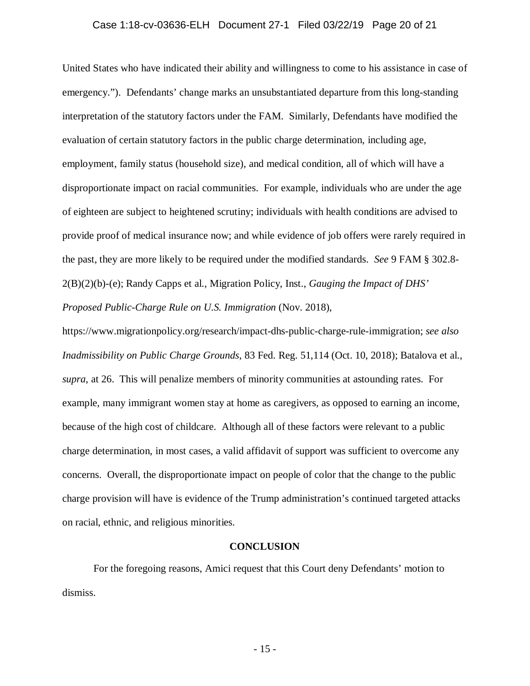#### Case 1:18-cv-03636-ELH Document 27-1 Filed 03/22/19 Page 20 of 21

United States who have indicated their ability and willingness to come to his assistance in case of emergency."). Defendants' change marks an unsubstantiated departure from this long-standing interpretation of the statutory factors under the FAM. Similarly, Defendants have modified the evaluation of certain statutory factors in the public charge determination, including age, employment, family status (household size), and medical condition, all of which will have a disproportionate impact on racial communities. For example, individuals who are under the age of eighteen are subject to heightened scrutiny; individuals with health conditions are advised to provide proof of medical insurance now; and while evidence of job offers were rarely required in the past, they are more likely to be required under the modified standards. *See* 9 FAM § 302.8- 2(B)(2)(b)-(e); Randy Capps et al., Migration Policy, Inst., *Gauging the Impact of DHS' Proposed Public-Charge Rule on U.S. Immigration* (Nov. 2018),

https://www.migrationpolicy.org/research/impact-dhs-public-charge-rule-immigration; *see also Inadmissibility on Public Charge Grounds*, 83 Fed. Reg. 51,114 (Oct. 10, 2018); Batalova et al., *supra*, at 26. This will penalize members of minority communities at astounding rates. For example, many immigrant women stay at home as caregivers, as opposed to earning an income, because of the high cost of childcare. Although all of these factors were relevant to a public charge determination, in most cases, a valid affidavit of support was sufficient to overcome any concerns. Overall, the disproportionate impact on people of color that the change to the public charge provision will have is evidence of the Trump administration's continued targeted attacks on racial, ethnic, and religious minorities.

#### **CONCLUSION**

For the foregoing reasons, Amici request that this Court deny Defendants' motion to dismiss.